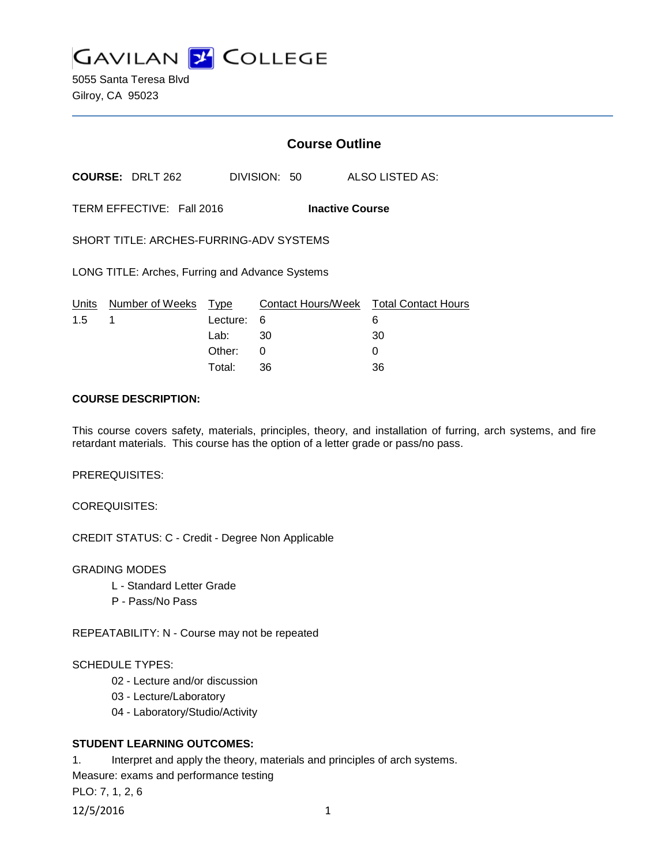

5055 Santa Teresa Blvd Gilroy, CA 95023

# **Course Outline**

**COURSE:** DRLT 262 DIVISION: 50 ALSO LISTED AS:

TERM EFFECTIVE: Fall 2016 **Inactive Course**

SHORT TITLE: ARCHES-FURRING-ADV SYSTEMS

LONG TITLE: Arches, Furring and Advance Systems

|               | Units Number of Weeks Type |            | Contact Hours/Week  Total Contact Hours |    |
|---------------|----------------------------|------------|-----------------------------------------|----|
| $1.5 \quad 1$ |                            | Lecture: 6 |                                         |    |
|               |                            | Lab: _     | - 30                                    | 30 |
|               |                            | Other:     |                                         |    |
|               |                            | Total:     | -36                                     | 36 |

### **COURSE DESCRIPTION:**

This course covers safety, materials, principles, theory, and installation of furring, arch systems, and fire retardant materials. This course has the option of a letter grade or pass/no pass.

PREREQUISITES:

COREQUISITES:

CREDIT STATUS: C - Credit - Degree Non Applicable

#### GRADING MODES

- L Standard Letter Grade
- P Pass/No Pass

REPEATABILITY: N - Course may not be repeated

#### SCHEDULE TYPES:

- 02 Lecture and/or discussion
- 03 Lecture/Laboratory
- 04 Laboratory/Studio/Activity

## **STUDENT LEARNING OUTCOMES:**

1. Interpret and apply the theory, materials and principles of arch systems.

Measure: exams and performance testing

PLO: 7, 1, 2, 6

12/5/2016 1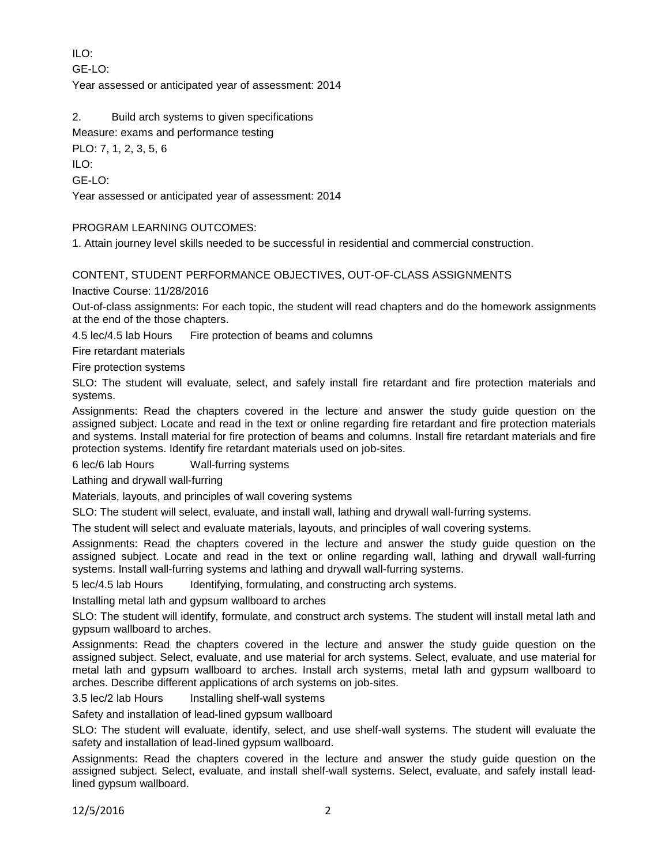ILO:

 $GF-I O<sup>2</sup>$ 

Year assessed or anticipated year of assessment: 2014

2. Build arch systems to given specifications

Measure: exams and performance testing

PLO: 7, 1, 2, 3, 5, 6

ILO:

GE-LO:

Year assessed or anticipated year of assessment: 2014

### PROGRAM LEARNING OUTCOMES:

1. Attain journey level skills needed to be successful in residential and commercial construction.

### CONTENT, STUDENT PERFORMANCE OBJECTIVES, OUT-OF-CLASS ASSIGNMENTS

Inactive Course: 11/28/2016

Out-of-class assignments: For each topic, the student will read chapters and do the homework assignments at the end of the those chapters.

4.5 lec/4.5 lab Hours Fire protection of beams and columns

Fire retardant materials

Fire protection systems

SLO: The student will evaluate, select, and safely install fire retardant and fire protection materials and systems.

Assignments: Read the chapters covered in the lecture and answer the study guide question on the assigned subject. Locate and read in the text or online regarding fire retardant and fire protection materials and systems. Install material for fire protection of beams and columns. Install fire retardant materials and fire protection systems. Identify fire retardant materials used on job-sites.

6 lec/6 lab Hours Wall-furring systems

Lathing and drywall wall-furring

Materials, layouts, and principles of wall covering systems

SLO: The student will select, evaluate, and install wall, lathing and drywall wall-furring systems.

The student will select and evaluate materials, layouts, and principles of wall covering systems.

Assignments: Read the chapters covered in the lecture and answer the study guide question on the assigned subject. Locate and read in the text or online regarding wall, lathing and drywall wall-furring systems. Install wall-furring systems and lathing and drywall wall-furring systems.

5 lec/4.5 lab Hours Identifying, formulating, and constructing arch systems.

Installing metal lath and gypsum wallboard to arches

SLO: The student will identify, formulate, and construct arch systems. The student will install metal lath and gypsum wallboard to arches.

Assignments: Read the chapters covered in the lecture and answer the study guide question on the assigned subject. Select, evaluate, and use material for arch systems. Select, evaluate, and use material for metal lath and gypsum wallboard to arches. Install arch systems, metal lath and gypsum wallboard to arches. Describe different applications of arch systems on job-sites.

3.5 lec/2 lab Hours Installing shelf-wall systems

Safety and installation of lead-lined gypsum wallboard

SLO: The student will evaluate, identify, select, and use shelf-wall systems. The student will evaluate the safety and installation of lead-lined gypsum wallboard.

Assignments: Read the chapters covered in the lecture and answer the study guide question on the assigned subject. Select, evaluate, and install shelf-wall systems. Select, evaluate, and safely install leadlined gypsum wallboard.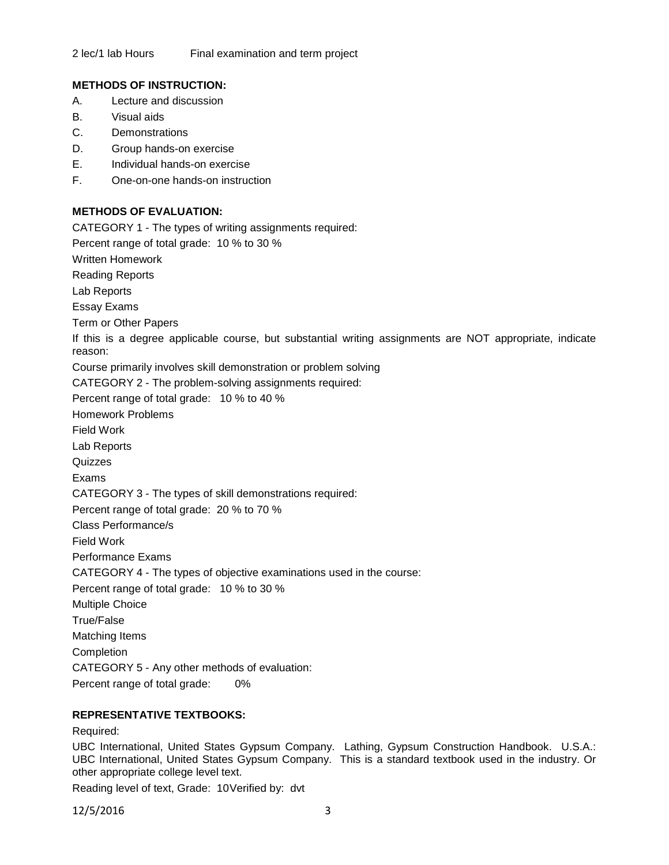## **METHODS OF INSTRUCTION:**

- A. Lecture and discussion
- B. Visual aids
- C. Demonstrations
- D. Group hands-on exercise
- E. Individual hands-on exercise
- F. One-on-one hands-on instruction

## **METHODS OF EVALUATION:**

CATEGORY 1 - The types of writing assignments required: Percent range of total grade: 10 % to 30 % Written Homework Reading Reports Lab Reports Essay Exams Term or Other Papers If this is a degree applicable course, but substantial writing assignments are NOT appropriate, indicate reason: Course primarily involves skill demonstration or problem solving CATEGORY 2 - The problem-solving assignments required: Percent range of total grade: 10 % to 40 % Homework Problems Field Work Lab Reports **Quizzes** Exams CATEGORY 3 - The types of skill demonstrations required: Percent range of total grade: 20 % to 70 % Class Performance/s Field Work Performance Exams CATEGORY 4 - The types of objective examinations used in the course: Percent range of total grade: 10 % to 30 % Multiple Choice True/False Matching Items **Completion** CATEGORY 5 - Any other methods of evaluation: Percent range of total grade: 0%

## **REPRESENTATIVE TEXTBOOKS:**

Required:

UBC International, United States Gypsum Company. Lathing, Gypsum Construction Handbook. U.S.A.: UBC International, United States Gypsum Company. This is a standard textbook used in the industry. Or other appropriate college level text.

Reading level of text, Grade: 10Verified by: dvt

12/5/2016 3